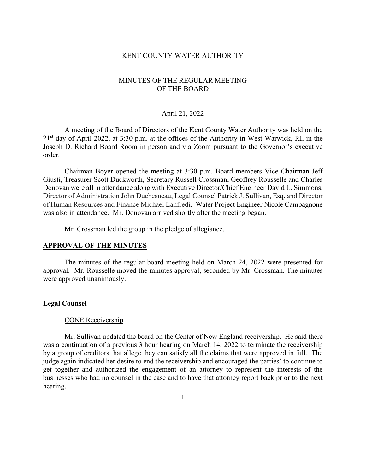## KENT COUNTY WATER AUTHORITY

# MINUTES OF THE REGULAR MEETING OF THE BOARD

## April 21, 2022

A meeting of the Board of Directors of the Kent County Water Authority was held on the 21<sup>st</sup> day of April 2022, at 3:30 p.m. at the offices of the Authority in West Warwick, RI, in the Joseph D. Richard Board Room in person and via Zoom pursuant to the Governor's executive order.

Chairman Boyer opened the meeting at 3:30 p.m. Board members Vice Chairman Jeff Giusti, Treasurer Scott Duckworth, Secretary Russell Crossman, Geoffrey Rousselle and Charles Donovan were all in attendance along with Executive Director/Chief Engineer David L. Simmons, Director of Administration John Duchesneau, Legal Counsel Patrick J. Sullivan, Esq. and Director of Human Resources and Finance Michael Lanfredi. Water Project Engineer Nicole Campagnone was also in attendance. Mr. Donovan arrived shortly after the meeting began.

Mr. Crossman led the group in the pledge of allegiance.

## **APPROVAL OF THE MINUTES**

The minutes of the regular board meeting held on March 24, 2022 were presented for approval. Mr. Rousselle moved the minutes approval, seconded by Mr. Crossman. The minutes were approved unanimously.

## **Legal Counsel**

#### CONE Receivership

 Mr. Sullivan updated the board on the Center of New England receivership. He said there was a continuation of a previous 3 hour hearing on March 14, 2022 to terminate the receivership by a group of creditors that allege they can satisfy all the claims that were approved in full. The judge again indicated her desire to end the receivership and encouraged the parties' to continue to get together and authorized the engagement of an attorney to represent the interests of the businesses who had no counsel in the case and to have that attorney report back prior to the next hearing.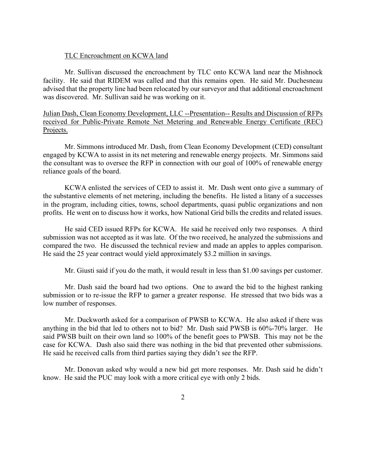#### TLC Encroachment on KCWA land

Mr. Sullivan discussed the encroachment by TLC onto KCWA land near the Mishnock facility. He said that RIDEM was called and that this remains open. He said Mr. Duchesneau advised that the property line had been relocated by our surveyor and that additional encroachment was discovered. Mr. Sullivan said he was working on it.

Julian Dash, Clean Economy Development, LLC --Presentation-- Results and Discussion of RFPs received for Public-Private Remote Net Metering and Renewable Energy Certificate (REC) Projects.

Mr. Simmons introduced Mr. Dash, from Clean Economy Development (CED) consultant engaged by KCWA to assist in its net metering and renewable energy projects. Mr. Simmons said the consultant was to oversee the RFP in connection with our goal of 100% of renewable energy reliance goals of the board.

KCWA enlisted the services of CED to assist it. Mr. Dash went onto give a summary of the substantive elements of net metering, including the benefits. He listed a litany of a successes in the program, including cities, towns, school departments, quasi public organizations and non profits. He went on to discuss how it works, how National Grid bills the credits and related issues.

He said CED issued RFPs for KCWA. He said he received only two responses. A third submission was not accepted as it was late. Of the two received, he analyzed the submissions and compared the two. He discussed the technical review and made an apples to apples comparison. He said the 25 year contract would yield approximately \$3.2 million in savings.

Mr. Giusti said if you do the math, it would result in less than \$1.00 savings per customer.

Mr. Dash said the board had two options. One to award the bid to the highest ranking submission or to re-issue the RFP to garner a greater response. He stressed that two bids was a low number of responses.

Mr. Duckworth asked for a comparison of PWSB to KCWA. He also asked if there was anything in the bid that led to others not to bid? Mr. Dash said PWSB is 60%-70% larger. He said PWSB built on their own land so 100% of the benefit goes to PWSB. This may not be the case for KCWA. Dash also said there was nothing in the bid that prevented other submissions. He said he received calls from third parties saying they didn't see the RFP.

Mr. Donovan asked why would a new bid get more responses. Mr. Dash said he didn't know. He said the PUC may look with a more critical eye with only 2 bids.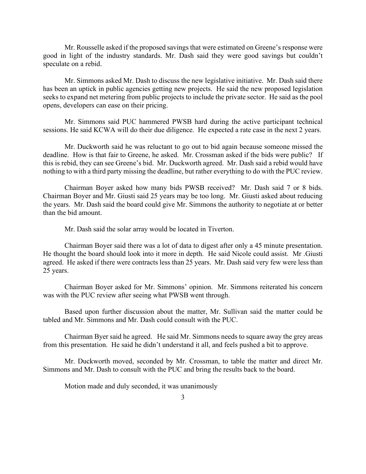Mr. Rousselle asked if the proposed savings that were estimated on Greene's response were good in light of the industry standards. Mr. Dash said they were good savings but couldn't speculate on a rebid.

Mr. Simmons asked Mr. Dash to discuss the new legislative initiative. Mr. Dash said there has been an uptick in public agencies getting new projects. He said the new proposed legislation seeks to expand net metering from public projects to include the private sector. He said as the pool opens, developers can ease on their pricing.

Mr. Simmons said PUC hammered PWSB hard during the active participant technical sessions. He said KCWA will do their due diligence. He expected a rate case in the next 2 years.

Mr. Duckworth said he was reluctant to go out to bid again because someone missed the deadline. How is that fair to Greene, he asked. Mr. Crossman asked if the bids were public? If this is rebid, they can see Greene's bid. Mr. Duckworth agreed. Mr. Dash said a rebid would have nothing to with a third party missing the deadline, but rather everything to do with the PUC review.

Chairman Boyer asked how many bids PWSB received? Mr. Dash said 7 or 8 bids. Chairman Boyer and Mr. Giusti said 25 years may be too long. Mr. Giusti asked about reducing the years. Mr. Dash said the board could give Mr. Simmons the authority to negotiate at or better than the bid amount.

Mr. Dash said the solar array would be located in Tiverton.

Chairman Boyer said there was a lot of data to digest after only a 45 minute presentation. He thought the board should look into it more in depth. He said Nicole could assist. Mr .Giusti agreed. He asked if there were contracts less than 25 years. Mr. Dash said very few were less than 25 years.

Chairman Boyer asked for Mr. Simmons' opinion. Mr. Simmons reiterated his concern was with the PUC review after seeing what PWSB went through.

Based upon further discussion about the matter, Mr. Sullivan said the matter could be tabled and Mr. Simmons and Mr. Dash could consult with the PUC.

Chairman Byer said he agreed. He said Mr. Simmons needs to square away the grey areas from this presentation. He said he didn't understand it all, and feels pushed a bit to approve.

Mr. Duckworth moved, seconded by Mr. Crossman, to table the matter and direct Mr. Simmons and Mr. Dash to consult with the PUC and bring the results back to the board.

Motion made and duly seconded, it was unanimously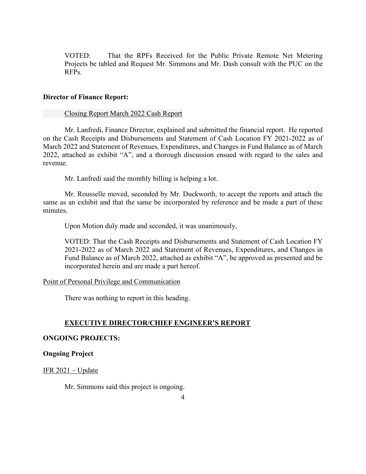VOTED: That the RPFs Received for the Public Private Remote Net Metering Projects be tabled and Request Mr. Simmons and Mr. Dash consult with the PUC on the RFPs.

## **Director of Finance Report:**

## Closing Report March 2022 Cash Report

Mr. Lanfredi, Finance Director, explained and submitted the financial report. He reported on the Cash Receipts and Disbursements and Statement of Cash Location FY 2021-2022 as of March 2022 and Statement of Revenues, Expenditures, and Changes in Fund Balance as of March 2022, attached as exhibit "A", and a thorough discussion ensued with regard to the sales and revenue.

Mr. Lanfredi said the monthly billing is helping a lot.

Mr. Rousselle moved, seconded by Mr. Duckworth, to accept the reports and attach the same as an exhibit and that the same be incorporated by reference and be made a part of these minutes.

Upon Motion duly made and seconded, it was unanimously,

VOTED: That the Cash Receipts and Disbursements and Statement of Cash Location FY 2021-2022 as of March 2022 and Statement of Revenues, Expenditures, and Changes in Fund Balance as of March 2022, attached as exhibit "A", be approved as presented and be incorporated herein and are made a part hereof.

## Point of Personal Privilege and Communication

There was nothing to report in this heading.

## **EXECUTIVE DIRECTOR/CHIEF ENGINEER'S REPORT**

## **ONGOING PROJECTS:**

## **Ongoing Project**

## IFR  $2021$  – Update

Mr. Simmons said this project is ongoing.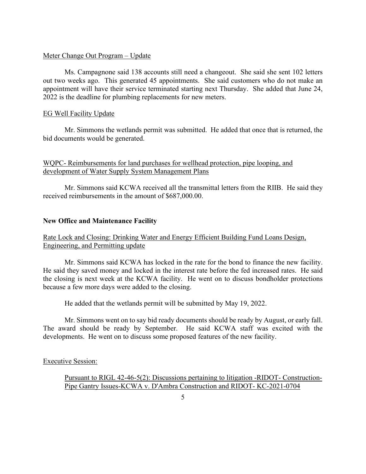## Meter Change Out Program – Update

Ms. Campagnone said 138 accounts still need a changeout. She said she sent 102 letters out two weeks ago. This generated 45 appointments. She said customers who do not make an appointment will have their service terminated starting next Thursday. She added that June 24, 2022 is the deadline for plumbing replacements for new meters.

## EG Well Facility Update

 Mr. Simmons the wetlands permit was submitted. He added that once that is returned, the bid documents would be generated.

# WQPC- Reimbursements for land purchases for wellhead protection, pipe looping, and development of Water Supply System Management Plans

Mr. Simmons said KCWA received all the transmittal letters from the RIIB. He said they received reimbursements in the amount of \$687,000.00.

## **New Office and Maintenance Facility**

# Rate Lock and Closing: Drinking Water and Energy Efficient Building Fund Loans Design, Engineering, and Permitting update

Mr. Simmons said KCWA has locked in the rate for the bond to finance the new facility. He said they saved money and locked in the interest rate before the fed increased rates. He said the closing is next week at the KCWA facility. He went on to discuss bondholder protections because a few more days were added to the closing.

He added that the wetlands permit will be submitted by May 19, 2022.

Mr. Simmons went on to say bid ready documents should be ready by August, or early fall. The award should be ready by September. He said KCWA staff was excited with the developments. He went on to discuss some proposed features of the new facility.

#### Executive Session:

Pursuant to RIGL 42-46-5(2): Discussions pertaining to litigation -RIDOT- Construction-Pipe Gantry Issues-KCWA v. D'Ambra Construction and RIDOT- KC-2021-0704